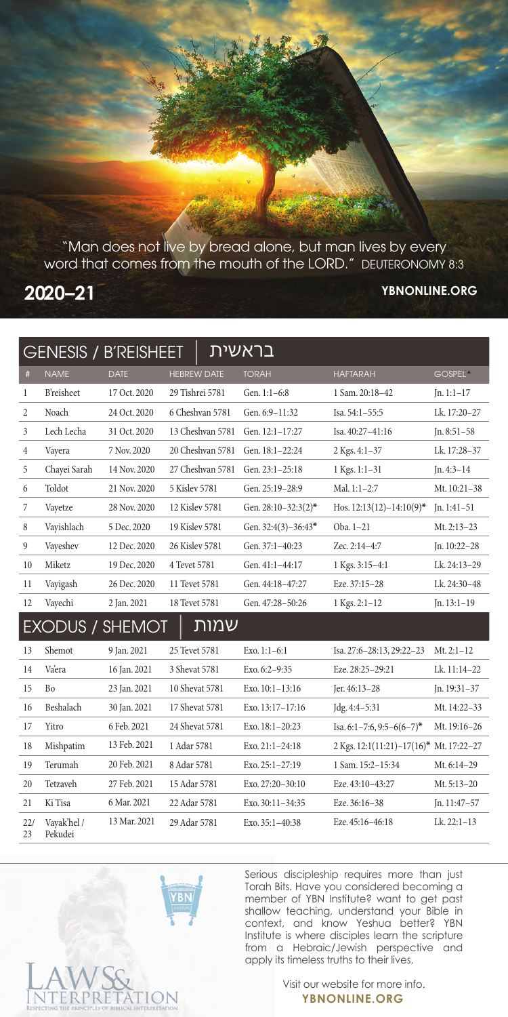"Man does not live by bread alone, but man lives by every word that comes from the mouth of the LORD." DEUTERONOMY 8:3

## **2020–21**

## **YBNONLINE.ORG**

| בראשית<br><b>GENESIS / B'REISHEET</b> |                        |              |                    |                       |                                         |                     |  |  |  |  |
|---------------------------------------|------------------------|--------------|--------------------|-----------------------|-----------------------------------------|---------------------|--|--|--|--|
|                                       |                        |              |                    |                       |                                         |                     |  |  |  |  |
| $\#$                                  | <b>NAME</b>            | <b>DATE</b>  | <b>HEBREW DATE</b> | <b>TORAH</b>          | <b>HAFTARAH</b>                         | GOSPEL <sup>A</sup> |  |  |  |  |
| $\mathbf{1}$                          | <b>B</b> 'reisheet     | 17 Oct. 2020 | 29 Tishrei 5781    | Gen. 1:1-6:8          | 1 Sam. 20:18-42                         | $In. 1:1-17$        |  |  |  |  |
| $\overline{2}$                        | Noach                  | 24 Oct. 2020 | 6 Cheshvan 5781    | Gen. 6:9-11:32        | Isa. 54:1-55:5                          | Lk. 17:20-27        |  |  |  |  |
| 3                                     | Lech Lecha             | 31 Oct. 2020 | 13 Cheshvan 5781   | Gen. 12:1-17:27       | Isa, $40:27-41:16$                      | $In. 8:51-58$       |  |  |  |  |
| 4                                     | Vayera                 | 7 Nov. 2020  | 20 Cheshvan 5781   | Gen. 18:1-22:24       | 2 Kgs. 4:1-37                           | Lk. 17:28–37        |  |  |  |  |
| 5                                     | Chayei Sarah           | 14 Nov. 2020 | 27 Cheshvan 5781   | Gen. 23:1-25:18       | 1 Kgs. 1:1-31                           | $Jn.4:3-14$         |  |  |  |  |
| 6                                     | Toldot                 | 21 Nov. 2020 | 5 Kislev 5781      | Gen. 25:19-28:9       | Mal. 1:1-2:7                            | Mt. 10:21-38        |  |  |  |  |
| 7                                     | Vayetze                | 28 Nov. 2020 | 12 Kisley 5781     | Gen. 28:10-32:3(2)*   | Hos. $12:13(12)-14:10(9)^*$             | $In.1:41-51$        |  |  |  |  |
| 8                                     | Vayishlach             | 5 Dec. 2020  | 19 Kisley 5781     | Gen. $32:4(3)-36:43*$ | Oba. 1-21                               | Mt. $2:13-23$       |  |  |  |  |
| 9                                     | Vayeshev               | 12 Dec. 2020 | 26 Kisley 5781     | Gen. 37:1-40:23       | Zec. 2:14-4:7                           | Jn. 10:22-28        |  |  |  |  |
| 10                                    | Miketz                 | 19 Dec. 2020 | 4 Tevet 5781       | Gen. 41:1-44:17       | 1 Kgs. 3:15-4:1                         | Lk. 24:13-29        |  |  |  |  |
| 11                                    | Vayigash               | 26 Dec. 2020 | 11 Tevet 5781      | Gen. 44:18-47:27      | Eze. 37:15-28                           | Lk. 24:30-48        |  |  |  |  |
| 12                                    | Vayechi                | 2 Jan. 2021  | 18 Tevet 5781      | Gen. 47:28-50:26      | 1 Kgs. 2:1-12                           | $In. 13:1-19$       |  |  |  |  |
| <u>שמות</u><br><b>EXODUS / SHEMOT</b> |                        |              |                    |                       |                                         |                     |  |  |  |  |
| 13                                    | Shemot                 | 9 Jan. 2021  | 25 Tevet 5781      | Exo. $1:1-6:1$        | Isa. 27:6-28:13, 29:22-23               | Mt. $2:1-12$        |  |  |  |  |
| 14                                    | Vaera                  | 16 Jan. 2021 | 3 Shevat 5781      | Exo. 6:2-9:35         | Eze. 28:25-29:21                        | Lk. 11:14-22        |  |  |  |  |
| 15                                    | <b>Bo</b>              | 23 Jan. 2021 | 10 Shevat 5781     | Exo. 10:1-13:16       | Jer. 46:13-28                           | Jn. 19:31-37        |  |  |  |  |
| 16                                    | Beshalach              | 30 Jan. 2021 | 17 Shevat 5781     | Exo. 13:17-17:16      | Jdg. 4:4-5:31                           | Mt. 14:22-33        |  |  |  |  |
| 17                                    | Yitro                  | 6 Feb. 2021  | 24 Shevat 5781     | Exo. 18:1-20:23       | Isa. 6:1-7:6, 9:5-6(6-7)*               | Mt. 19:16-26        |  |  |  |  |
| 18                                    | Mishpatim              | 13 Feb. 2021 | 1 Adar 5781        | Exo. 21:1-24:18       | 2 Kgs. 12:1(11:21)-17(16)* Mt. 17:22-27 |                     |  |  |  |  |
| 19                                    | Terumah                | 20 Feb. 2021 | 8 Adar 5781        | Exo. 25:1-27:19       | 1 Sam. 15:2-15:34                       | Mt. 6:14-29         |  |  |  |  |
| 20                                    | Tetzaveh               | 27 Feb. 2021 | 15 Adar 5781       | Exo. 27:20-30:10      | Eze. 43:10-43:27                        | Mt. 5:13-20         |  |  |  |  |
| 21                                    | Ki Tisa                | 6 Mar. 2021  | 22 Adar 5781       | Exo. 30:11-34:35      | Eze. 36:16-38                           | Jn. $11:47-57$      |  |  |  |  |
| 22/<br>23                             | Vayak'hel /<br>Pekudei | 13 Mar. 2021 | 29 Adar 5781       | Exo. $35:1 - 40:38$   | Eze. 45:16-46:18                        | $Lk. 22:1-13$       |  |  |  |  |

Serious discipleship requires more than just Torah Bits. Have you considered becoming a member of YBN Institute? want to get past shallow teaching, understand your Bible in context, and know Yeshua better? YBN Institute is where disciples learn the scripture from a Hebraic/Jewish perspective and apply its timeless truths to their lives.